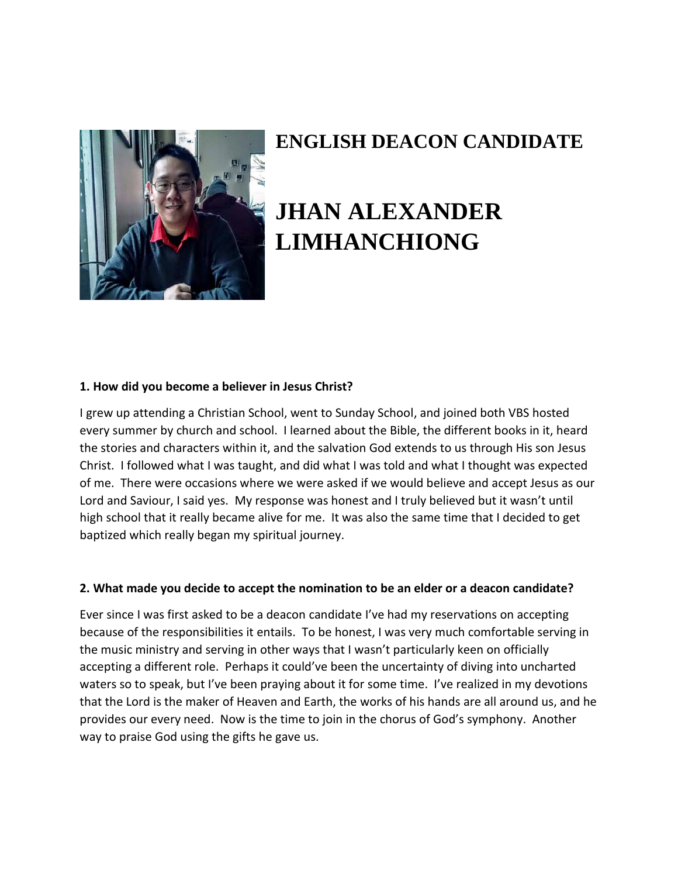

# **ENGLISH DEACON CANDIDATE**

# **JHAN ALEXANDER LIMHANCHIONG**

#### **1. How did you become a believer in Jesus Christ?**

I grew up attending a Christian School, went to Sunday School, and joined both VBS hosted every summer by church and school. I learned about the Bible, the different books in it, heard the stories and characters within it, and the salvation God extends to us through His son Jesus Christ. I followed what I was taught, and did what I was told and what I thought was expected of me. There were occasions where we were asked if we would believe and accept Jesus as our Lord and Saviour, I said yes. My response was honest and I truly believed but it wasn't until high school that it really became alive for me. It was also the same time that I decided to get baptized which really began my spiritual journey.

#### **2. What made you decide to accept the nomination to be an elder or a deacon candidate?**

Ever since I was first asked to be a deacon candidate I've had my reservations on accepting because of the responsibilities it entails. To be honest, I was very much comfortable serving in the music ministry and serving in other ways that I wasn't particularly keen on officially accepting a different role. Perhaps it could've been the uncertainty of diving into uncharted waters so to speak, but I've been praying about it for some time. I've realized in my devotions that the Lord is the maker of Heaven and Earth, the works of his hands are all around us, and he provides our every need. Now is the time to join in the chorus of God's symphony. Another way to praise God using the gifts he gave us.